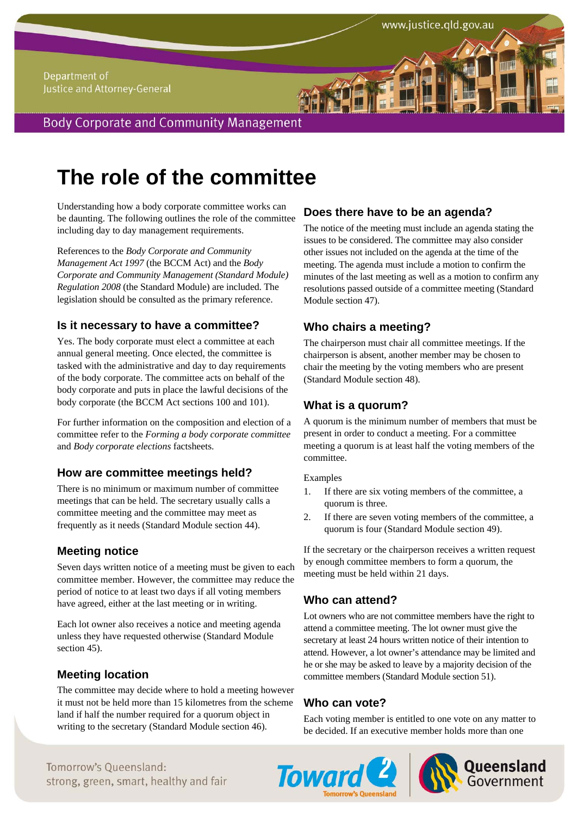#### Department of Justice and Attorney-General

**Body Corporate and Community Management** 

# **The role of the committee**

Understanding how a body corporate committee works can be daunting. The following outlines the role of the committee including day to day management requirements.

References to the *Body Corporate and Community Management Act 1997* (the BCCM Act) and the *Body Corporate and Community Management (Standard Module) Regulation 2008* (the Standard Module) are included. The legislation should be consulted as the primary reference.

## **Is it necessary to have a committee?**

Yes. The body corporate must elect a committee at each annual general meeting. Once elected, the committee is tasked with the administrative and day to day requirements of the body corporate. The committee acts on behalf of the body corporate and puts in place the lawful decisions of the body corporate (the BCCM Act sections 100 and 101).

For further information on the composition and election of a committee refer to the *Forming a body corporate committee* and *Body corporate elections* factsheets.

# **How are committee meetings held?**

There is no minimum or maximum number of committee meetings that can be held. The secretary usually calls a committee meeting and the committee may meet as frequently as it needs (Standard Module section 44).

# **Meeting notice**

Seven days written notice of a meeting must be given to each committee member. However, the committee may reduce the period of notice to at least two days if all voting members have agreed, either at the last meeting or in writing.

Each lot owner also receives a notice and meeting agenda unless they have requested otherwise (Standard Module section 45).

# **Meeting location**

The committee may decide where to hold a meeting however it must not be held more than 15 kilometres from the scheme land if half the number required for a quorum object in writing to the secretary (Standard Module section 46).

# **Does there have to be an agenda?**

The notice of the meeting must include an agenda stating the issues to be considered. The committee may also consider other issues not included on the agenda at the time of the meeting. The agenda must include a motion to confirm the minutes of the last meeting as well as a motion to confirm any resolutions passed outside of a committee meeting (Standard Module section 47).

# **Who chairs a meeting?**

The chairperson must chair all committee meetings. If the chairperson is absent, another member may be chosen to chair the meeting by the voting members who are present (Standard Module section 48).

# **What is a quorum?**

A quorum is the minimum number of members that must be present in order to conduct a meeting. For a committee meeting a quorum is at least half the voting members of the committee.

Examples

- 1. If there are six voting members of the committee, a quorum is three.
- 2. If there are seven voting members of the committee, a quorum is four (Standard Module section 49).

If the secretary or the chairperson receives a written request by enough committee members to form a quorum, the meeting must be held within 21 days.

# **Who can attend?**

Lot owners who are not committee members have the right to attend a committee meeting. The lot owner must give the secretary at least 24 hours written notice of their intention to attend. However, a lot owner's attendance may be limited and he or she may be asked to leave by a majority decision of the committee members (Standard Module section 51).

# **Who can vote?**

Each voting member is entitled to one vote on any matter to be decided. If an executive member holds more than one





Tomorrow's Queensland: Strong, green, smart, healthy and fair **Toward & Report to Covernment** Tomorrow's Oueensland: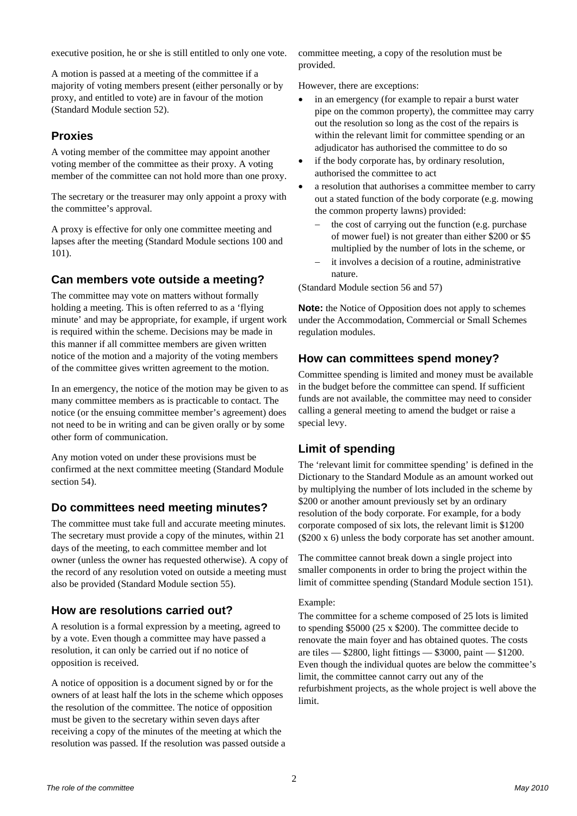executive position, he or she is still entitled to only one vote.

A motion is passed at a meeting of the committee if a majority of voting members present (either personally or by proxy, and entitled to vote) are in favour of the motion (Standard Module section 52).

## **Proxies**

A voting member of the committee may appoint another voting member of the committee as their proxy. A voting member of the committee can not hold more than one proxy.

The secretary or the treasurer may only appoint a proxy with the committee's approval.

A proxy is effective for only one committee meeting and lapses after the meeting (Standard Module sections 100 and 101).

# **Can members vote outside a meeting?**

The committee may vote on matters without formally holding a meeting. This is often referred to as a 'flying minute' and may be appropriate, for example, if urgent work is required within the scheme. Decisions may be made in this manner if all committee members are given written notice of the motion and a majority of the voting members of the committee gives written agreement to the motion.

In an emergency, the notice of the motion may be given to as many committee members as is practicable to contact. The notice (or the ensuing committee member's agreement) does not need to be in writing and can be given orally or by some other form of communication.

Any motion voted on under these provisions must be confirmed at the next committee meeting (Standard Module section 54).

## **Do committees need meeting minutes?**

The committee must take full and accurate meeting minutes. The secretary must provide a copy of the minutes, within 21 days of the meeting, to each committee member and lot owner (unless the owner has requested otherwise). A copy of the record of any resolution voted on outside a meeting must also be provided (Standard Module section 55).

## **How are resolutions carried out?**

A resolution is a formal expression by a meeting, agreed to by a vote. Even though a committee may have passed a resolution, it can only be carried out if no notice of opposition is received.

A notice of opposition is a document signed by or for the owners of at least half the lots in the scheme which opposes the resolution of the committee. The notice of opposition must be given to the secretary within seven days after receiving a copy of the minutes of the meeting at which the resolution was passed. If the resolution was passed outside a committee meeting, a copy of the resolution must be provided.

However, there are exceptions:

- in an emergency (for example to repair a burst water pipe on the common property), the committee may carry out the resolution so long as the cost of the repairs is within the relevant limit for committee spending or an adjudicator has authorised the committee to do so
- if the body corporate has, by ordinary resolution, authorised the committee to act
- a resolution that authorises a committee member to carry out a stated function of the body corporate (e.g. mowing the common property lawns) provided:
	- $\theta$  the cost of carrying out the function (e.g. purchase of mower fuel) is not greater than either \$200 or \$5 multiplied by the number of lots in the scheme, or
	- it involves a decision of a routine, administrative nature.

(Standard Module section 56 and 57)

**Note:** the Notice of Opposition does not apply to schemes under the Accommodation, Commercial or Small Schemes regulation modules.

## **How can committees spend money?**

Committee spending is limited and money must be available in the budget before the committee can spend. If sufficient funds are not available, the committee may need to consider calling a general meeting to amend the budget or raise a special levy.

## **Limit of spending**

The 'relevant limit for committee spending' is defined in the Dictionary to the Standard Module as an amount worked out by multiplying the number of lots included in the scheme by \$200 or another amount previously set by an ordinary resolution of the body corporate. For example, for a body corporate composed of six lots, the relevant limit is \$1200 (\$200 x 6) unless the body corporate has set another amount.

The committee cannot break down a single project into smaller components in order to bring the project within the limit of committee spending (Standard Module section 151).

#### Example:

The committee for a scheme composed of 25 lots is limited to spending \$5000 (25 x \$200). The committee decide to renovate the main foyer and has obtained quotes. The costs are tiles — \$2800, light fittings — \$3000, paint — \$1200. Even though the individual quotes are below the committee's limit, the committee cannot carry out any of the refurbishment projects, as the whole project is well above the limit.